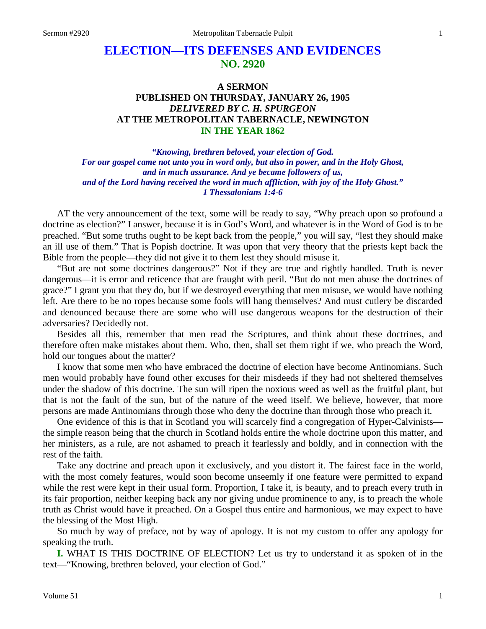# **ELECTION—ITS DEFENSES AND EVIDENCES NO. 2920**

# **A SERMON PUBLISHED ON THURSDAY, JANUARY 26, 1905** *DELIVERED BY C. H. SPURGEON* **AT THE METROPOLITAN TABERNACLE, NEWINGTON IN THE YEAR 1862**

*"Knowing, brethren beloved, your election of God. For our gospel came not unto you in word only, but also in power, and in the Holy Ghost, and in much assurance. And ye became followers of us, and of the Lord having received the word in much affliction, with joy of the Holy Ghost." 1 Thessalonians 1:4-6*

AT the very announcement of the text, some will be ready to say, "Why preach upon so profound a doctrine as election?" I answer, because it is in God's Word, and whatever is in the Word of God is to be preached. "But some truths ought to be kept back from the people," you will say, "lest they should make an ill use of them." That is Popish doctrine. It was upon that very theory that the priests kept back the Bible from the people—they did not give it to them lest they should misuse it.

"But are not some doctrines dangerous?" Not if they are true and rightly handled. Truth is never dangerous—it is error and reticence that are fraught with peril. "But do not men abuse the doctrines of grace?" I grant you that they do, but if we destroyed everything that men misuse, we would have nothing left. Are there to be no ropes because some fools will hang themselves? And must cutlery be discarded and denounced because there are some who will use dangerous weapons for the destruction of their adversaries? Decidedly not.

Besides all this, remember that men read the Scriptures, and think about these doctrines, and therefore often make mistakes about them. Who, then, shall set them right if we, who preach the Word, hold our tongues about the matter?

I know that some men who have embraced the doctrine of election have become Antinomians. Such men would probably have found other excuses for their misdeeds if they had not sheltered themselves under the shadow of this doctrine. The sun will ripen the noxious weed as well as the fruitful plant, but that is not the fault of the sun, but of the nature of the weed itself. We believe, however, that more persons are made Antinomians through those who deny the doctrine than through those who preach it.

One evidence of this is that in Scotland you will scarcely find a congregation of Hyper-Calvinists the simple reason being that the church in Scotland holds entire the whole doctrine upon this matter, and her ministers, as a rule, are not ashamed to preach it fearlessly and boldly, and in connection with the rest of the faith.

Take any doctrine and preach upon it exclusively, and you distort it. The fairest face in the world, with the most comely features, would soon become unseemly if one feature were permitted to expand while the rest were kept in their usual form. Proportion, I take it, is beauty, and to preach every truth in its fair proportion, neither keeping back any nor giving undue prominence to any, is to preach the whole truth as Christ would have it preached. On a Gospel thus entire and harmonious, we may expect to have the blessing of the Most High.

So much by way of preface, not by way of apology. It is not my custom to offer any apology for speaking the truth.

**I.** WHAT IS THIS DOCTRINE OF ELECTION? Let us try to understand it as spoken of in the text—"Knowing, brethren beloved, your election of God."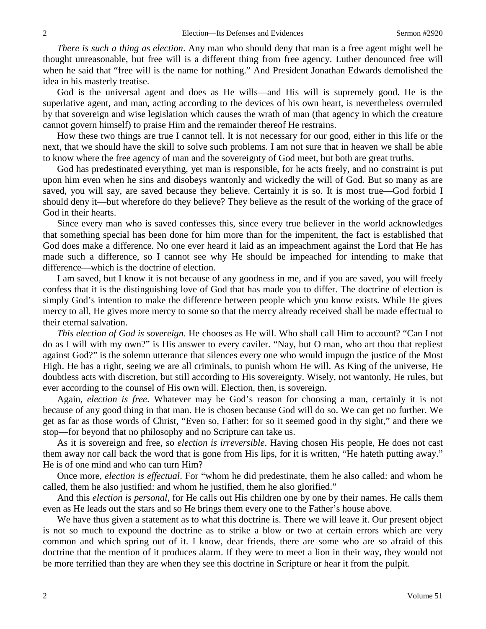*There is such a thing as election*. Any man who should deny that man is a free agent might well be thought unreasonable, but free will is a different thing from free agency. Luther denounced free will when he said that "free will is the name for nothing." And President Jonathan Edwards demolished the idea in his masterly treatise.

God is the universal agent and does as He wills—and His will is supremely good. He is the superlative agent, and man, acting according to the devices of his own heart, is nevertheless overruled by that sovereign and wise legislation which causes the wrath of man (that agency in which the creature cannot govern himself) to praise Him and the remainder thereof He restrains.

How these two things are true I cannot tell. It is not necessary for our good, either in this life or the next, that we should have the skill to solve such problems. I am not sure that in heaven we shall be able to know where the free agency of man and the sovereignty of God meet, but both are great truths.

God has predestinated everything, yet man is responsible, for he acts freely, and no constraint is put upon him even when he sins and disobeys wantonly and wickedly the will of God. But so many as are saved, you will say, are saved because they believe. Certainly it is so. It is most true—God forbid I should deny it—but wherefore do they believe? They believe as the result of the working of the grace of God in their hearts.

Since every man who is saved confesses this, since every true believer in the world acknowledges that something special has been done for him more than for the impenitent, the fact is established that God does make a difference. No one ever heard it laid as an impeachment against the Lord that He has made such a difference, so I cannot see why He should be impeached for intending to make that difference—which is the doctrine of election.

I am saved, but I know it is not because of any goodness in me, and if you are saved, you will freely confess that it is the distinguishing love of God that has made you to differ. The doctrine of election is simply God's intention to make the difference between people which you know exists. While He gives mercy to all, He gives more mercy to some so that the mercy already received shall be made effectual to their eternal salvation.

*This election of God is sovereign*. He chooses as He will. Who shall call Him to account? "Can I not do as I will with my own?" is His answer to every caviler. "Nay, but O man, who art thou that repliest against God?" is the solemn utterance that silences every one who would impugn the justice of the Most High. He has a right, seeing we are all criminals, to punish whom He will. As King of the universe, He doubtless acts with discretion, but still according to His sovereignty. Wisely, not wantonly, He rules, but ever according to the counsel of His own will. Election, then, is sovereign.

Again, *election is free*. Whatever may be God's reason for choosing a man, certainly it is not because of any good thing in that man. He is chosen because God will do so. We can get no further. We get as far as those words of Christ, "Even so, Father: for so it seemed good in thy sight," and there we stop—for beyond that no philosophy and no Scripture can take us.

As it is sovereign and free, so *election is irreversible*. Having chosen His people, He does not cast them away nor call back the word that is gone from His lips, for it is written, "He hateth putting away." He is of one mind and who can turn Him?

Once more, *election is effectual*. For "whom he did predestinate, them he also called: and whom he called, them he also justified: and whom he justified, them he also glorified."

And this *election is personal*, for He calls out His children one by one by their names. He calls them even as He leads out the stars and so He brings them every one to the Father's house above.

We have thus given a statement as to what this doctrine is. There we will leave it. Our present object is not so much to expound the doctrine as to strike a blow or two at certain errors which are very common and which spring out of it. I know, dear friends, there are some who are so afraid of this doctrine that the mention of it produces alarm. If they were to meet a lion in their way, they would not be more terrified than they are when they see this doctrine in Scripture or hear it from the pulpit.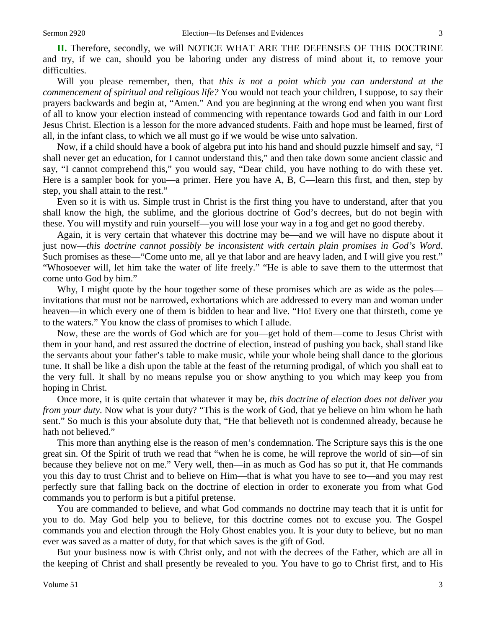**II.** Therefore, secondly, we will NOTICE WHAT ARE THE DEFENSES OF THIS DOCTRINE

and try, if we can, should you be laboring under any distress of mind about it, to remove your difficulties.

Will you please remember, then, that *this is not a point which you can understand at the commencement of spiritual and religious life?* You would not teach your children, I suppose, to say their prayers backwards and begin at, "Amen." And you are beginning at the wrong end when you want first of all to know your election instead of commencing with repentance towards God and faith in our Lord Jesus Christ. Election is a lesson for the more advanced students. Faith and hope must be learned, first of all, in the infant class, to which we all must go if we would be wise unto salvation.

Now, if a child should have a book of algebra put into his hand and should puzzle himself and say, "I shall never get an education, for I cannot understand this," and then take down some ancient classic and say, "I cannot comprehend this," you would say, "Dear child, you have nothing to do with these yet. Here is a sampler book for you—a primer. Here you have A, B, C—learn this first, and then, step by step, you shall attain to the rest."

Even so it is with us. Simple trust in Christ is the first thing you have to understand, after that you shall know the high, the sublime, and the glorious doctrine of God's decrees, but do not begin with these. You will mystify and ruin yourself—you will lose your way in a fog and get no good thereby.

Again, it is very certain that whatever this doctrine may be—and we will have no dispute about it just now—*this doctrine cannot possibly be inconsistent with certain plain promises in God's Word*. Such promises as these—"Come unto me, all ye that labor and are heavy laden, and I will give you rest." "Whosoever will, let him take the water of life freely." "He is able to save them to the uttermost that come unto God by him."

Why, I might quote by the hour together some of these promises which are as wide as the poles invitations that must not be narrowed, exhortations which are addressed to every man and woman under heaven—in which every one of them is bidden to hear and live. "Ho! Every one that thirsteth, come ye to the waters." You know the class of promises to which I allude.

Now, these are the words of God which are for you—get hold of them—come to Jesus Christ with them in your hand, and rest assured the doctrine of election, instead of pushing you back, shall stand like the servants about your father's table to make music, while your whole being shall dance to the glorious tune. It shall be like a dish upon the table at the feast of the returning prodigal, of which you shall eat to the very full. It shall by no means repulse you or show anything to you which may keep you from hoping in Christ.

Once more, it is quite certain that whatever it may be, *this doctrine of election does not deliver you from your duty*. Now what is your duty? "This is the work of God, that ye believe on him whom he hath sent." So much is this your absolute duty that, "He that believeth not is condemned already, because he hath not believed."

This more than anything else is the reason of men's condemnation. The Scripture says this is the one great sin. Of the Spirit of truth we read that "when he is come, he will reprove the world of sin—of sin because they believe not on me." Very well, then—in as much as God has so put it, that He commands you this day to trust Christ and to believe on Him—that is what you have to see to—and you may rest perfectly sure that falling back on the doctrine of election in order to exonerate you from what God commands you to perform is but a pitiful pretense.

You are commanded to believe, and what God commands no doctrine may teach that it is unfit for you to do. May God help you to believe, for this doctrine comes not to excuse you. The Gospel commands you and election through the Holy Ghost enables you. It is your duty to believe, but no man ever was saved as a matter of duty, for that which saves is the gift of God.

But your business now is with Christ only, and not with the decrees of the Father, which are all in the keeping of Christ and shall presently be revealed to you. You have to go to Christ first, and to His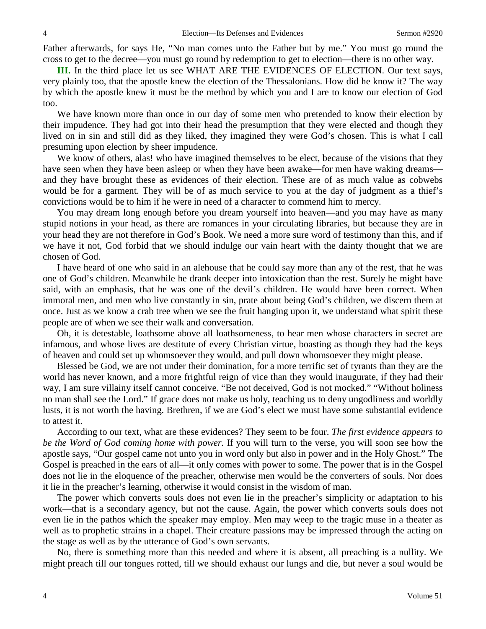Father afterwards, for says He, "No man comes unto the Father but by me." You must go round the cross to get to the decree—you must go round by redemption to get to election—there is no other way.

**III.** In the third place let us see WHAT ARE THE EVIDENCES OF ELECTION. Our text says, very plainly too, that the apostle knew the election of the Thessalonians. How did he know it? The way by which the apostle knew it must be the method by which you and I are to know our election of God too.

We have known more than once in our day of some men who pretended to know their election by their impudence. They had got into their head the presumption that they were elected and though they lived on in sin and still did as they liked, they imagined they were God's chosen. This is what I call presuming upon election by sheer impudence.

We know of others, alas! who have imagined themselves to be elect, because of the visions that they have seen when they have been asleep or when they have been awake—for men have waking dreams and they have brought these as evidences of their election. These are of as much value as cobwebs would be for a garment. They will be of as much service to you at the day of judgment as a thief's convictions would be to him if he were in need of a character to commend him to mercy.

You may dream long enough before you dream yourself into heaven—and you may have as many stupid notions in your head, as there are romances in your circulating libraries, but because they are in your head they are not therefore in God's Book. We need a more sure word of testimony than this, and if we have it not, God forbid that we should indulge our vain heart with the dainty thought that we are chosen of God.

I have heard of one who said in an alehouse that he could say more than any of the rest, that he was one of God's children. Meanwhile he drank deeper into intoxication than the rest. Surely he might have said, with an emphasis, that he was one of the devil's children. He would have been correct. When immoral men, and men who live constantly in sin, prate about being God's children, we discern them at once. Just as we know a crab tree when we see the fruit hanging upon it, we understand what spirit these people are of when we see their walk and conversation.

Oh, it is detestable, loathsome above all loathsomeness, to hear men whose characters in secret are infamous, and whose lives are destitute of every Christian virtue, boasting as though they had the keys of heaven and could set up whomsoever they would, and pull down whomsoever they might please.

Blessed be God, we are not under their domination, for a more terrific set of tyrants than they are the world has never known, and a more frightful reign of vice than they would inaugurate, if they had their way, I am sure villainy itself cannot conceive. "Be not deceived, God is not mocked." "Without holiness no man shall see the Lord." If grace does not make us holy, teaching us to deny ungodliness and worldly lusts, it is not worth the having. Brethren, if we are God's elect we must have some substantial evidence to attest it.

According to our text, what are these evidences? They seem to be four. *The first evidence appears to be the Word of God coming home with power.* If you will turn to the verse, you will soon see how the apostle says, "Our gospel came not unto you in word only but also in power and in the Holy Ghost." The Gospel is preached in the ears of all—it only comes with power to some. The power that is in the Gospel does not lie in the eloquence of the preacher, otherwise men would be the converters of souls. Nor does it lie in the preacher's learning, otherwise it would consist in the wisdom of man.

The power which converts souls does not even lie in the preacher's simplicity or adaptation to his work—that is a secondary agency, but not the cause. Again, the power which converts souls does not even lie in the pathos which the speaker may employ. Men may weep to the tragic muse in a theater as well as to prophetic strains in a chapel. Their creature passions may be impressed through the acting on the stage as well as by the utterance of God's own servants.

No, there is something more than this needed and where it is absent, all preaching is a nullity. We might preach till our tongues rotted, till we should exhaust our lungs and die, but never a soul would be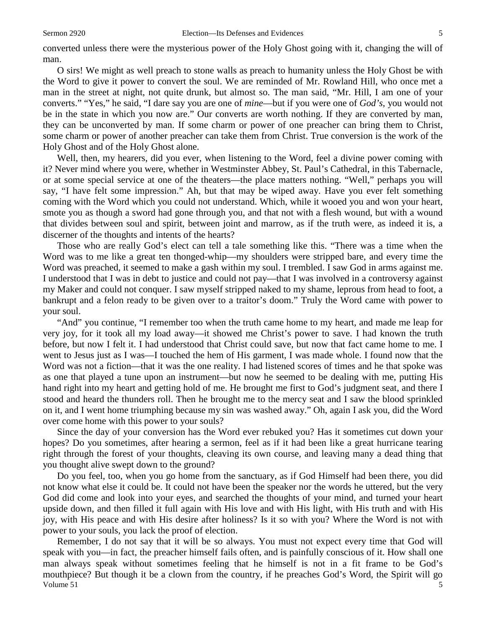converted unless there were the mysterious power of the Holy Ghost going with it, changing the will of man.

O sirs! We might as well preach to stone walls as preach to humanity unless the Holy Ghost be with the Word to give it power to convert the soul. We are reminded of Mr. Rowland Hill, who once met a man in the street at night, not quite drunk, but almost so. The man said, "Mr. Hill, I am one of your converts." "Yes," he said, "I dare say you are one of *mine*—but if you were one of *God's*, you would not be in the state in which you now are." Our converts are worth nothing. If they are converted by man, they can be unconverted by man. If some charm or power of one preacher can bring them to Christ, some charm or power of another preacher can take them from Christ. True conversion is the work of the Holy Ghost and of the Holy Ghost alone.

Well, then, my hearers, did you ever, when listening to the Word, feel a divine power coming with it? Never mind where you were, whether in Westminster Abbey, St. Paul's Cathedral, in this Tabernacle, or at some special service at one of the theaters—the place matters nothing. "Well," perhaps you will say, "I have felt some impression." Ah, but that may be wiped away. Have you ever felt something coming with the Word which you could not understand. Which, while it wooed you and won your heart, smote you as though a sword had gone through you, and that not with a flesh wound, but with a wound that divides between soul and spirit, between joint and marrow, as if the truth were, as indeed it is, a discerner of the thoughts and intents of the hearts?

Those who are really God's elect can tell a tale something like this. "There was a time when the Word was to me like a great ten thonged-whip—my shoulders were stripped bare, and every time the Word was preached, it seemed to make a gash within my soul. I trembled. I saw God in arms against me. I understood that I was in debt to justice and could not pay—that I was involved in a controversy against my Maker and could not conquer. I saw myself stripped naked to my shame, leprous from head to foot, a bankrupt and a felon ready to be given over to a traitor's doom." Truly the Word came with power to your soul.

"And" you continue, "I remember too when the truth came home to my heart, and made me leap for very joy, for it took all my load away—it showed me Christ's power to save. I had known the truth before, but now I felt it. I had understood that Christ could save, but now that fact came home to me. I went to Jesus just as I was—I touched the hem of His garment, I was made whole. I found now that the Word was not a fiction—that it was the one reality. I had listened scores of times and he that spoke was as one that played a tune upon an instrument—but now he seemed to be dealing with me, putting His hand right into my heart and getting hold of me. He brought me first to God's judgment seat, and there I stood and heard the thunders roll. Then he brought me to the mercy seat and I saw the blood sprinkled on it, and I went home triumphing because my sin was washed away." Oh, again I ask you, did the Word over come home with this power to your souls?

Since the day of your conversion has the Word ever rebuked you? Has it sometimes cut down your hopes? Do you sometimes, after hearing a sermon, feel as if it had been like a great hurricane tearing right through the forest of your thoughts, cleaving its own course, and leaving many a dead thing that you thought alive swept down to the ground?

Do you feel, too, when you go home from the sanctuary, as if God Himself had been there, you did not know what else it could be. It could not have been the speaker nor the words he uttered, but the very God did come and look into your eyes, and searched the thoughts of your mind, and turned your heart upside down, and then filled it full again with His love and with His light, with His truth and with His joy, with His peace and with His desire after holiness? Is it so with you? Where the Word is not with power to your souls, you lack the proof of election.

Volume  $51$  5 Remember, I do not say that it will be so always. You must not expect every time that God will speak with you—in fact, the preacher himself fails often, and is painfully conscious of it. How shall one man always speak without sometimes feeling that he himself is not in a fit frame to be God's mouthpiece? But though it be a clown from the country, if he preaches God's Word, the Spirit will go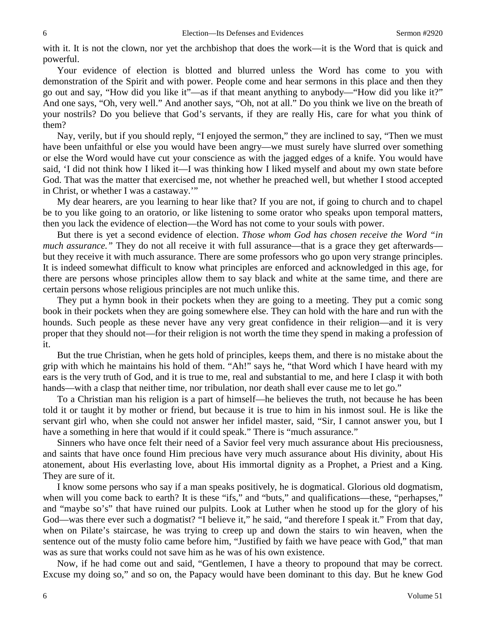with it. It is not the clown, nor yet the archbishop that does the work—it is the Word that is quick and powerful.

Your evidence of election is blotted and blurred unless the Word has come to you with demonstration of the Spirit and with power. People come and hear sermons in this place and then they go out and say, "How did you like it"—as if that meant anything to anybody—"How did you like it?" And one says, "Oh, very well." And another says, "Oh, not at all." Do you think we live on the breath of your nostrils? Do you believe that God's servants, if they are really His, care for what you think of them?

Nay, verily, but if you should reply, "I enjoyed the sermon," they are inclined to say, "Then we must have been unfaithful or else you would have been angry—we must surely have slurred over something or else the Word would have cut your conscience as with the jagged edges of a knife. You would have said, 'I did not think how I liked it—I was thinking how I liked myself and about my own state before God. That was the matter that exercised me, not whether he preached well, but whether I stood accepted in Christ, or whether I was a castaway.'"

My dear hearers, are you learning to hear like that? If you are not, if going to church and to chapel be to you like going to an oratorio, or like listening to some orator who speaks upon temporal matters, then you lack the evidence of election—the Word has not come to your souls with power.

But there is yet a second evidence of election. *Those whom God has chosen receive the Word "in much assurance.*" They do not all receive it with full assurance—that is a grace they get afterwards but they receive it with much assurance. There are some professors who go upon very strange principles. It is indeed somewhat difficult to know what principles are enforced and acknowledged in this age, for there are persons whose principles allow them to say black and white at the same time, and there are certain persons whose religious principles are not much unlike this.

They put a hymn book in their pockets when they are going to a meeting. They put a comic song book in their pockets when they are going somewhere else. They can hold with the hare and run with the hounds. Such people as these never have any very great confidence in their religion—and it is very proper that they should not—for their religion is not worth the time they spend in making a profession of it.

But the true Christian, when he gets hold of principles, keeps them, and there is no mistake about the grip with which he maintains his hold of them. "Ah!" says he, "that Word which I have heard with my ears is the very truth of God, and it is true to me, real and substantial to me, and here I clasp it with both hands—with a clasp that neither time, nor tribulation, nor death shall ever cause me to let go."

To a Christian man his religion is a part of himself—he believes the truth, not because he has been told it or taught it by mother or friend, but because it is true to him in his inmost soul. He is like the servant girl who, when she could not answer her infidel master, said, "Sir, I cannot answer you, but I have a something in here that would if it could speak." There is "much assurance."

Sinners who have once felt their need of a Savior feel very much assurance about His preciousness, and saints that have once found Him precious have very much assurance about His divinity, about His atonement, about His everlasting love, about His immortal dignity as a Prophet, a Priest and a King. They are sure of it.

I know some persons who say if a man speaks positively, he is dogmatical. Glorious old dogmatism, when will you come back to earth? It is these "ifs," and "buts," and qualifications—these, "perhapses," and "maybe so's" that have ruined our pulpits. Look at Luther when he stood up for the glory of his God—was there ever such a dogmatist? "I believe it," he said, "and therefore I speak it." From that day, when on Pilate's staircase, he was trying to creep up and down the stairs to win heaven, when the sentence out of the musty folio came before him, "Justified by faith we have peace with God," that man was as sure that works could not save him as he was of his own existence.

Now, if he had come out and said, "Gentlemen, I have a theory to propound that may be correct. Excuse my doing so," and so on, the Papacy would have been dominant to this day. But he knew God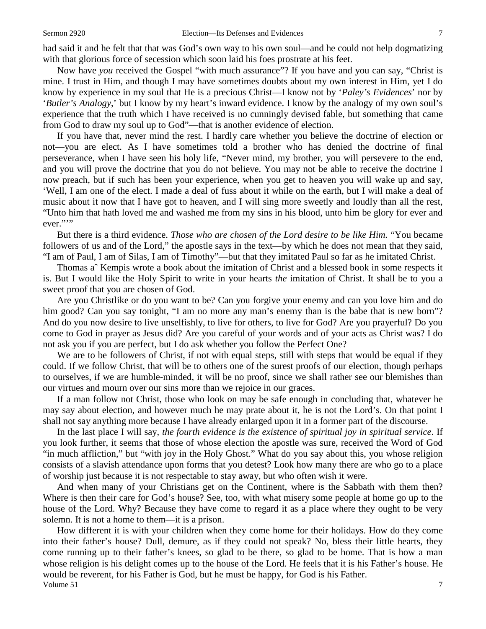had said it and he felt that that was God's own way to his own soul—and he could not help dogmatizing with that glorious force of secession which soon laid his foes prostrate at his feet.

Now have *you* received the Gospel "with much assurance"? If you have and you can say, "Christ is mine. I trust in Him, and though I may have sometimes doubts about my own interest in Him, yet I do know by experience in my soul that He is a precious Christ—I know not by '*Paley's Evidences*' nor by '*Butler's Analogy*,' but I know by my heart's inward evidence. I know by the analogy of my own soul's experience that the truth which I have received is no cunningly devised fable, but something that came from God to draw my soul up to God"—that is another evidence of election.

If you have that, never mind the rest. I hardly care whether you believe the doctrine of election or not—you are elect. As I have sometimes told a brother who has denied the doctrine of final perseverance, when I have seen his holy life, "Never mind, my brother, you will persevere to the end, and you will prove the doctrine that you do not believe. You may not be able to receive the doctrine I now preach, but if such has been your experience, when you get to heaven you will wake up and say, 'Well, I am one of the elect. I made a deal of fuss about it while on the earth, but I will make a deal of music about it now that I have got to heaven, and I will sing more sweetly and loudly than all the rest, "Unto him that hath loved me and washed me from my sins in his blood, unto him be glory for ever and ever.""

But there is a third evidence. *Those who are chosen of the Lord desire to be like Him.* "You became followers of us and of the Lord," the apostle says in the text—by which he does not mean that they said, "I am of Paul, I am of Silas, I am of Timothy"—but that they imitated Paul so far as he imitated Christ.

Thomas aˆ Kempis wrote a book about the imitation of Christ and a blessed book in some respects it is. But I would like the Holy Spirit to write in your hearts *the* imitation of Christ. It shall be to you a sweet proof that you are chosen of God.

Are you Christlike or do you want to be? Can you forgive your enemy and can you love him and do him good? Can you say tonight, "I am no more any man's enemy than is the babe that is new born"? And do you now desire to live unselfishly, to live for others, to live for God? Are you prayerful? Do you come to God in prayer as Jesus did? Are you careful of your words and of your acts as Christ was? I do not ask you if you are perfect, but I do ask whether you follow the Perfect One?

We are to be followers of Christ, if not with equal steps, still with steps that would be equal if they could. If we follow Christ, that will be to others one of the surest proofs of our election, though perhaps to ourselves, if we are humble-minded, it will be no proof, since we shall rather see our blemishes than our virtues and mourn over our sins more than we rejoice in our graces.

If a man follow not Christ, those who look on may be safe enough in concluding that, whatever he may say about election, and however much he may prate about it, he is not the Lord's. On that point I shall not say anything more because I have already enlarged upon it in a former part of the discourse.

In the last place I will say, *the fourth evidence is the existence of spiritual joy in spiritual service*. If you look further, it seems that those of whose election the apostle was sure, received the Word of God "in much affliction," but "with joy in the Holy Ghost." What do you say about this, you whose religion consists of a slavish attendance upon forms that you detest? Look how many there are who go to a place of worship just because it is not respectable to stay away, but who often wish it were.

And when many of your Christians get on the Continent, where is the Sabbath with them then? Where is then their care for God's house? See, too, with what misery some people at home go up to the house of the Lord. Why? Because they have come to regard it as a place where they ought to be very solemn. It is not a home to them—it is a prison.

Volume 51  $\frac{1}{2}$  7 How different it is with your children when they come home for their holidays. How do they come into their father's house? Dull, demure, as if they could not speak? No, bless their little hearts, they come running up to their father's knees, so glad to be there, so glad to be home. That is how a man whose religion is his delight comes up to the house of the Lord. He feels that it is his Father's house. He would be reverent, for his Father is God, but he must be happy, for God is his Father.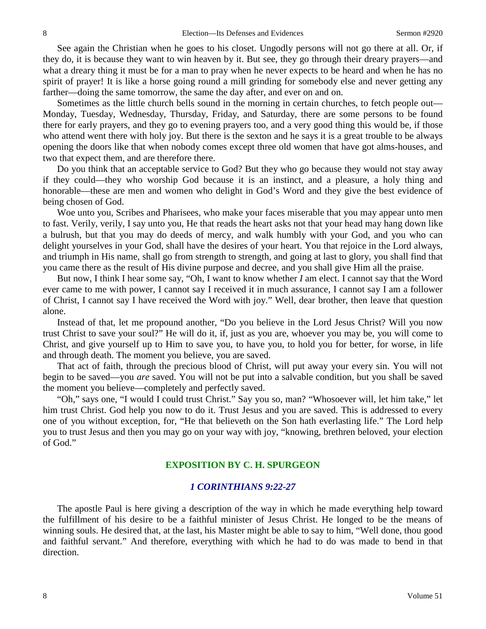See again the Christian when he goes to his closet. Ungodly persons will not go there at all. Or, if they do, it is because they want to win heaven by it. But see, they go through their dreary prayers—and what a dreary thing it must be for a man to pray when he never expects to be heard and when he has no spirit of prayer! It is like a horse going round a mill grinding for somebody else and never getting any farther—doing the same tomorrow, the same the day after, and ever on and on.

Sometimes as the little church bells sound in the morning in certain churches, to fetch people out— Monday, Tuesday, Wednesday, Thursday, Friday, and Saturday, there are some persons to be found there for early prayers, and they go to evening prayers too, and a very good thing this would be, if those who attend went there with holy joy. But there is the sexton and he says it is a great trouble to be always opening the doors like that when nobody comes except three old women that have got alms-houses, and two that expect them, and are therefore there.

Do you think that an acceptable service to God? But they who go because they would not stay away if they could—they who worship God because it is an instinct, and a pleasure, a holy thing and honorable—these are men and women who delight in God's Word and they give the best evidence of being chosen of God.

Woe unto you, Scribes and Pharisees, who make your faces miserable that you may appear unto men to fast. Verily, verily, I say unto you, He that reads the heart asks not that your head may hang down like a bulrush, but that you may do deeds of mercy, and walk humbly with your God, and you who can delight yourselves in your God, shall have the desires of your heart. You that rejoice in the Lord always, and triumph in His name, shall go from strength to strength, and going at last to glory, you shall find that you came there as the result of His divine purpose and decree, and you shall give Him all the praise.

But now, I think I hear some say, "Oh, I want to know whether *I* am elect. I cannot say that the Word ever came to me with power, I cannot say I received it in much assurance, I cannot say I am a follower of Christ, I cannot say I have received the Word with joy." Well, dear brother, then leave that question alone.

Instead of that, let me propound another, "Do you believe in the Lord Jesus Christ? Will you now trust Christ to save your soul?" He will do it, if, just as you are, whoever you may be, you will come to Christ, and give yourself up to Him to save you, to have you, to hold you for better, for worse, in life and through death. The moment you believe, you are saved.

That act of faith, through the precious blood of Christ, will put away your every sin. You will not begin to be saved—you *are* saved. You will not be put into a salvable condition, but you shall be saved the moment you believe—completely and perfectly saved.

"Oh," says one, "I would I could trust Christ." Say you so, man? "Whosoever will, let him take," let him trust Christ. God help you now to do it. Trust Jesus and you are saved. This is addressed to every one of you without exception, for, "He that believeth on the Son hath everlasting life." The Lord help you to trust Jesus and then you may go on your way with joy, "knowing, brethren beloved, your election of God."

# **EXPOSITION BY C. H. SPURGEON**

### *1 CORINTHIANS 9:22-27*

The apostle Paul is here giving a description of the way in which he made everything help toward the fulfillment of his desire to be a faithful minister of Jesus Christ. He longed to be the means of winning souls. He desired that, at the last, his Master might be able to say to him, "Well done, thou good and faithful servant." And therefore, everything with which he had to do was made to bend in that direction.